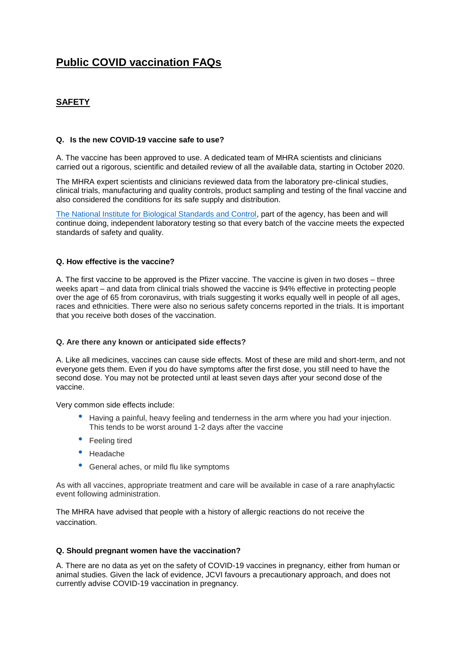# **Public COVID vaccination FAQs**

## **SAFETY**

#### **Q. Is the new COVID-19 vaccine safe to use?**

A. The vaccine has been approved to use. A dedicated team of MHRA scientists and clinicians carried out a rigorous, scientific and detailed review of all the available data, starting in October 2020.

The MHRA expert scientists and clinicians reviewed data from the laboratory pre-clinical studies, clinical trials, manufacturing and quality controls, product sampling and testing of the final vaccine and also considered the conditions for its safe supply and distribution.

[The National Institute for Biological Standards and Control,](https://www.nibsc.org/) part of the agency, has been and will continue doing, independent laboratory testing so that every batch of the vaccine meets the expected standards of safety and quality.

#### **Q. How effective is the vaccine?**

A. The first vaccine to be approved is the Pfizer vaccine. The vaccine is given in two doses – three weeks apart – and data from clinical trials showed the vaccine is 94% effective in protecting people over the age of 65 from coronavirus, with trials suggesting it works equally well in people of all ages, races and ethnicities. There were also no serious safety concerns reported in the trials. It is important that you receive both doses of the vaccination.

#### **Q. Are there any known or anticipated side effects?**

A. Like all medicines, vaccines can cause side effects. Most of these are mild and short-term, and not everyone gets them. Even if you do have symptoms after the first dose, you still need to have the second dose. You may not be protected until at least seven days after your second dose of the vaccine.

Very common side effects include:

- Having a painful, heavy feeling and tenderness in the arm where you had your injection. This tends to be worst around 1-2 days after the vaccine
- Feeling tired
- Headache
- General aches, or mild flu like symptoms

As with all vaccines, appropriate treatment and care will be available in case of a rare anaphylactic event following administration.

The MHRA have advised that people with a history of allergic reactions do not receive the vaccination.

#### **Q. Should pregnant women have the vaccination?**

A. There are no data as yet on the safety of COVID-19 vaccines in pregnancy, either from human or animal studies. Given the lack of evidence, JCVI favours a precautionary approach, and does not currently advise COVID-19 vaccination in pregnancy.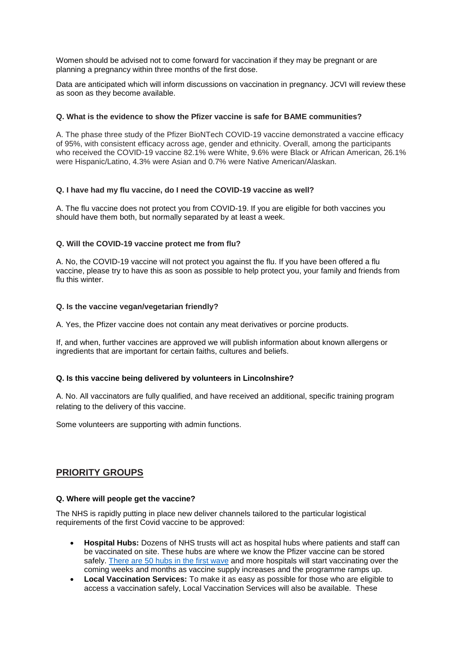Women should be advised not to come forward for vaccination if they may be pregnant or are planning a pregnancy within three months of the first dose.

Data are anticipated which will inform discussions on vaccination in pregnancy. JCVI will review these as soon as they become available.

#### **Q. What is the evidence to show the Pfizer vaccine is safe for BAME communities?**

A. The phase three study of the Pfizer BioNTech COVID-19 vaccine demonstrated a vaccine efficacy of 95%, with consistent efficacy across age, gender and ethnicity. Overall, among the participants who received the COVID-19 vaccine 82.1% were White, 9.6% were Black or African American, 26.1% were Hispanic/Latino, 4.3% were Asian and 0.7% were Native American/Alaskan.

#### **Q. I have had my flu vaccine, do I need the COVID-19 vaccine as well?**

A. The flu vaccine does not protect you from COVID-19. If you are eligible for both vaccines you should have them both, but normally separated by at least a week.

#### **Q. Will the COVID-19 vaccine protect me from flu?**

A. No, the COVID-19 vaccine will not protect you against the flu. If you have been offered a flu vaccine, please try to have this as soon as possible to help protect you, your family and friends from flu this winter

#### **Q. Is the vaccine vegan/vegetarian friendly?**

A. Yes, the Pfizer vaccine does not contain any meat derivatives or porcine products.

If, and when, further vaccines are approved we will publish information about known allergens or ingredients that are important for certain faiths, cultures and beliefs.

#### **Q. Is this vaccine being delivered by volunteers in Lincolnshire?**

A. No. All vaccinators are fully qualified, and have received an additional, specific training program relating to the delivery of this vaccine.

Some volunteers are supporting with admin functions.

## **PRIORITY GROUPS**

#### **Q. Where will people get the vaccine?**

The NHS is rapidly putting in place new deliver channels tailored to the particular logistical requirements of the first Covid vaccine to be approved:

- **Hospital Hubs:** Dozens of NHS trusts will act as hospital hubs where patients and staff can be vaccinated on site. These hubs are where we know the Pfizer vaccine can be stored safely. [There are 50 hubs in](http://tracking.vuelio.co.uk/tracking/click?d=kSeCNfd330--_OBW3J6vHkvGfTsWZRTOqUP0L70ckY5agciLPRE4uNcPdrjiYexRtYddFhWvsP4ZTfolN61Fk2VlLWvUwjs4Mkb7hm3bsJ7fknkvhmaTggWCL_xpWZBqlby3C1o0aD6ebtwI12-Ov4BHYb_Tb1yphwVncyM9O7-bjMafF5jdA2Lc7jn1E8PvNLxRFJHGLdSh3WiIvb2B8sJnagi7xC9nkWIjojNS0ySTNJsBrHiixgSPSqST2g1kfw2) the first wave and more hospitals will start vaccinating over the coming weeks and months as vaccine supply increases and the programme ramps up.
- **Local Vaccination Services:** To make it as easy as possible for those who are eligible to access a vaccination safely, Local Vaccination Services will also be available. These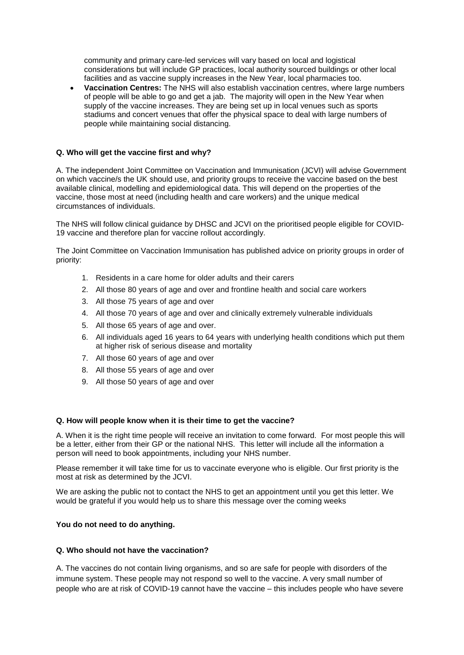community and primary care-led services will vary based on local and logistical considerations but will include GP practices, local authority sourced buildings or other local facilities and as vaccine supply increases in the New Year, local pharmacies too.

 **Vaccination Centres:** The NHS will also establish vaccination centres, where large numbers of people will be able to go and get a jab. The majority will open in the New Year when supply of the vaccine increases. They are being set up in local venues such as sports stadiums and concert venues that offer the physical space to deal with large numbers of people while maintaining social distancing.

#### **Q. Who will get the vaccine first and why?**

A. The independent Joint Committee on Vaccination and Immunisation (JCVI) will advise Government on which vaccine/s the UK should use, and priority groups to receive the vaccine based on the best available clinical, modelling and epidemiological data. This will depend on the properties of the vaccine, those most at need (including health and care workers) and the unique medical circumstances of individuals.

The NHS will follow clinical guidance by DHSC and JCVI on the prioritised people eligible for COVID-19 vaccine and therefore plan for vaccine rollout accordingly.

The Joint Committee on Vaccination Immunisation has published advice on priority groups in order of priority:

- 1. Residents in a care home for older adults and their carers
- 2. All those 80 years of age and over and frontline health and social care workers
- 3. All those 75 years of age and over
- 4. All those 70 years of age and over and clinically extremely vulnerable individuals
- 5. All those 65 years of age and over.
- 6. All individuals aged 16 years to 64 years with underlying health conditions which put them at higher risk of serious disease and mortality
- 7. All those 60 years of age and over
- 8. All those 55 years of age and over
- 9. All those 50 years of age and over

#### **Q. How will people know when it is their time to get the vaccine?**

A. When it is the right time people will receive an invitation to come forward. For most people this will be a letter, either from their GP or the national NHS. This letter will include all the information a person will need to book appointments, including your NHS number.

Please remember it will take time for us to vaccinate everyone who is eligible. Our first priority is the most at risk as determined by the JCVI.

We are asking the public not to contact the NHS to get an appointment until you get this letter. We would be grateful if you would help us to share this message over the coming weeks

#### **You do not need to do anything.**

#### **Q. Who should not have the vaccination?**

A. The vaccines do not contain living organisms, and so are safe for people with disorders of the immune system. These people may not respond so well to the vaccine. A very small number of people who are at risk of COVID-19 cannot have the vaccine – this includes people who have severe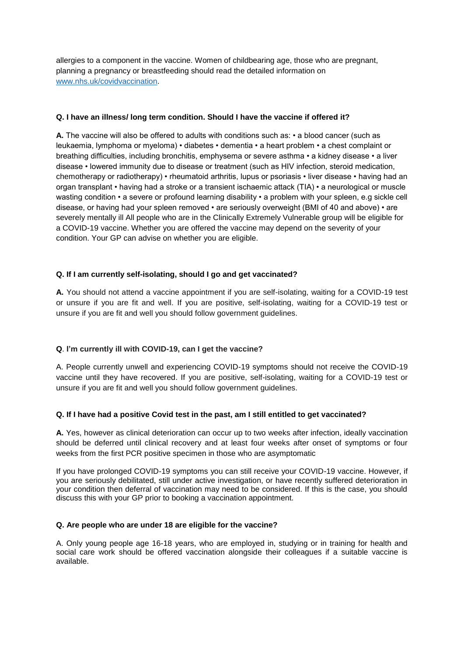allergies to a component in the vaccine. Women of childbearing age, those who are pregnant, planning a pregnancy or breastfeeding should read the detailed information on [www.nhs.uk/covidvaccination.](http://www.nhs.uk/covidvaccination)

#### **Q. I have an illness/ long term condition. Should I have the vaccine if offered it?**

**A.** The vaccine will also be offered to adults with conditions such as: • a blood cancer (such as leukaemia, lymphoma or myeloma) • diabetes • dementia • a heart problem • a chest complaint or breathing difficulties, including bronchitis, emphysema or severe asthma • a kidney disease • a liver disease • lowered immunity due to disease or treatment (such as HIV infection, steroid medication, chemotherapy or radiotherapy) • rheumatoid arthritis, lupus or psoriasis • liver disease • having had an organ transplant • having had a stroke or a transient ischaemic attack (TIA) • a neurological or muscle wasting condition • a severe or profound learning disability • a problem with your spleen, e.g sickle cell disease, or having had your spleen removed • are seriously overweight (BMI of 40 and above) • are severely mentally ill All people who are in the Clinically Extremely Vulnerable group will be eligible for a COVID-19 vaccine. Whether you are offered the vaccine may depend on the severity of your condition. Your GP can advise on whether you are eligible.

#### **Q. If I am currently self-isolating, should I go and get vaccinated?**

**A.** You should not attend a vaccine appointment if you are self-isolating, waiting for a COVID-19 test or unsure if you are fit and well. If you are positive, self-isolating, waiting for a COVID-19 test or unsure if you are fit and well you should follow government guidelines.

#### **Q**. **I'm currently ill with COVID-19, can I get the vaccine?**

A. People currently unwell and experiencing COVID-19 symptoms should not receive the COVID-19 vaccine until they have recovered. If you are positive, self-isolating, waiting for a COVID-19 test or unsure if you are fit and well you should follow government guidelines.

#### **Q. If I have had a positive Covid test in the past, am I still entitled to get vaccinated?**

**A.** Yes, however as clinical deterioration can occur up to two weeks after infection, ideally vaccination should be deferred until clinical recovery and at least four weeks after onset of symptoms or four weeks from the first PCR positive specimen in those who are asymptomatic

If you have prolonged COVID-19 symptoms you can still receive your COVID-19 vaccine. However, if you are seriously debilitated, still under active investigation, or have recently suffered deterioration in your condition then deferral of vaccination may need to be considered. If this is the case, you should discuss this with your GP prior to booking a vaccination appointment.

#### **Q. Are people who are under 18 are eligible for the vaccine?**

A. Only young people age 16-18 years, who are employed in, studying or in training for health and social care work should be offered vaccination alongside their colleagues if a suitable vaccine is available.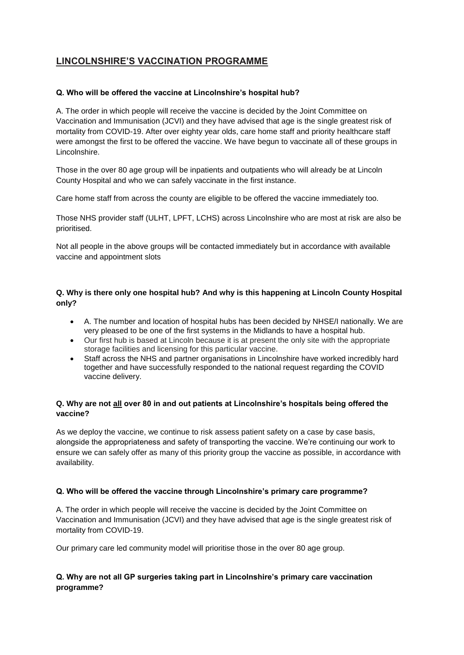## **LINCOLNSHIRE'S VACCINATION PROGRAMME**

### **Q. Who will be offered the vaccine at Lincolnshire's hospital hub?**

A. The order in which people will receive the vaccine is decided by the Joint Committee on Vaccination and Immunisation (JCVI) and they have advised that age is the single greatest risk of mortality from COVID-19. After over eighty year olds, care home staff and priority healthcare staff were amongst the first to be offered the vaccine. We have begun to vaccinate all of these groups in Lincolnshire.

Those in the over 80 age group will be inpatients and outpatients who will already be at Lincoln County Hospital and who we can safely vaccinate in the first instance.

Care home staff from across the county are eligible to be offered the vaccine immediately too.

Those NHS provider staff (ULHT, LPFT, LCHS) across Lincolnshire who are most at risk are also be prioritised.

Not all people in the above groups will be contacted immediately but in accordance with available vaccine and appointment slots

## **Q. Why is there only one hospital hub? And why is this happening at Lincoln County Hospital only?**

- A. The number and location of hospital hubs has been decided by NHSE/I nationally. We are very pleased to be one of the first systems in the Midlands to have a hospital hub.
- Our first hub is based at Lincoln because it is at present the only site with the appropriate storage facilities and licensing for this particular vaccine.
- Staff across the NHS and partner organisations in Lincolnshire have worked incredibly hard together and have successfully responded to the national request regarding the COVID vaccine delivery.

## **Q. Why are not all over 80 in and out patients at Lincolnshire's hospitals being offered the vaccine?**

As we deploy the vaccine, we continue to risk assess patient safety on a case by case basis, alongside the appropriateness and safety of transporting the vaccine. We're continuing our work to ensure we can safely offer as many of this priority group the vaccine as possible, in accordance with availability.

#### **Q. Who will be offered the vaccine through Lincolnshire's primary care programme?**

A. The order in which people will receive the vaccine is decided by the Joint Committee on Vaccination and Immunisation (JCVI) and they have advised that age is the single greatest risk of mortality from COVID-19.

Our primary care led community model will prioritise those in the over 80 age group.

## **Q. Why are not all GP surgeries taking part in Lincolnshire's primary care vaccination programme?**